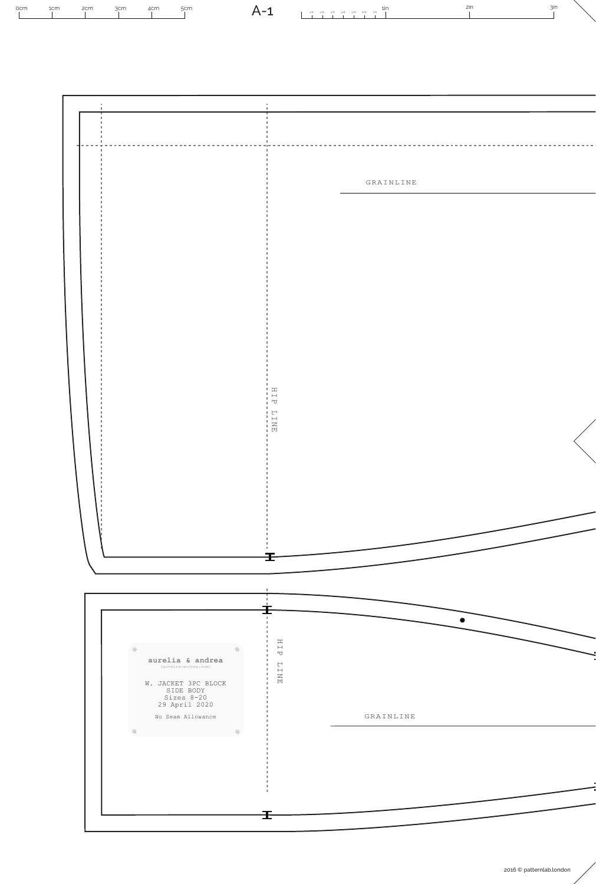

2016 © patternlab.london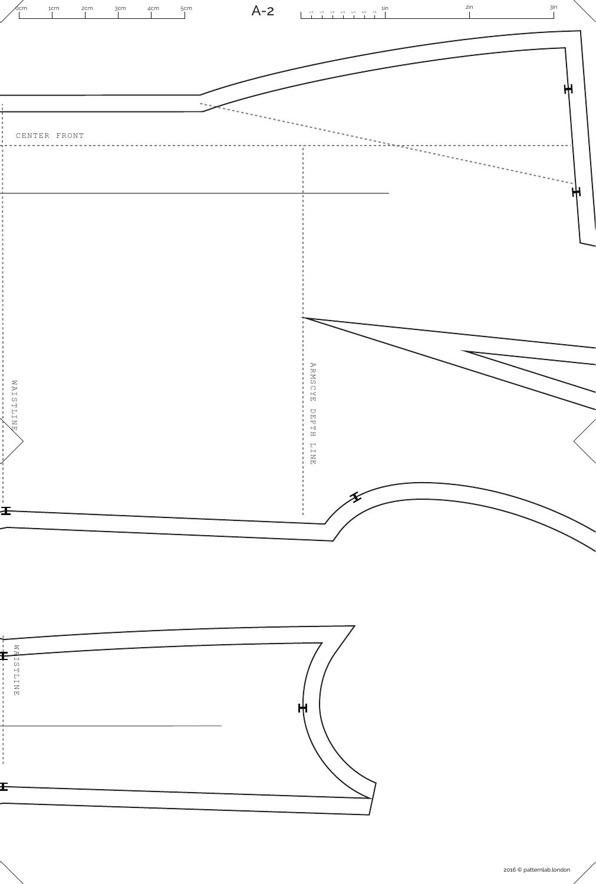

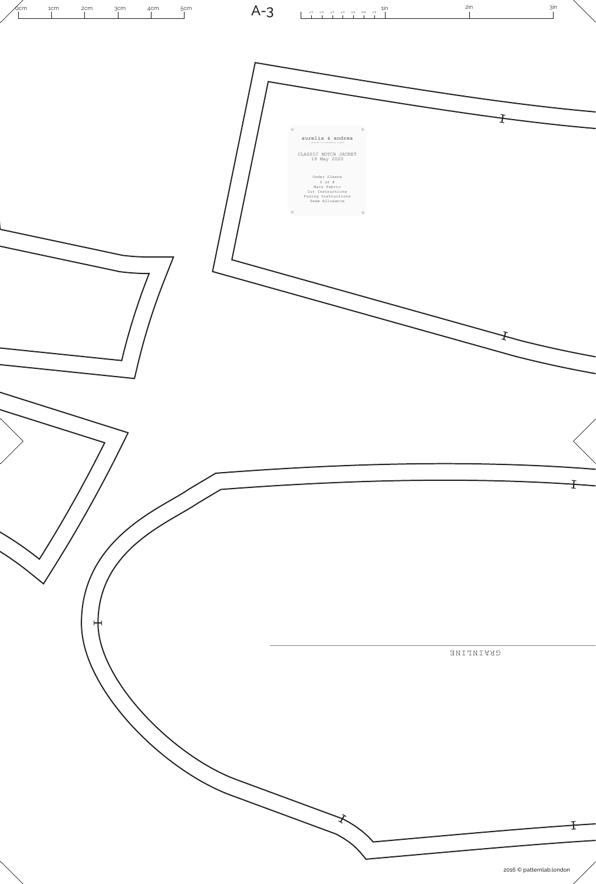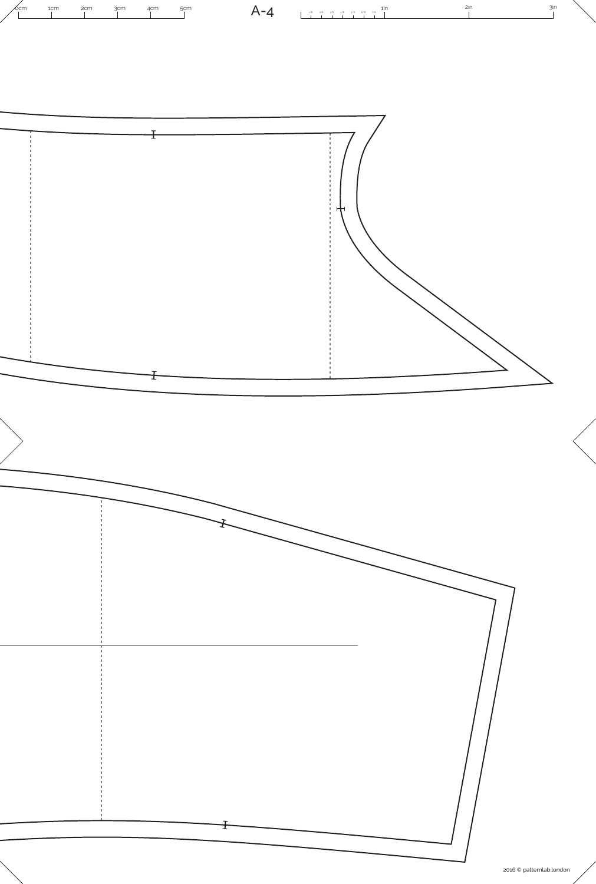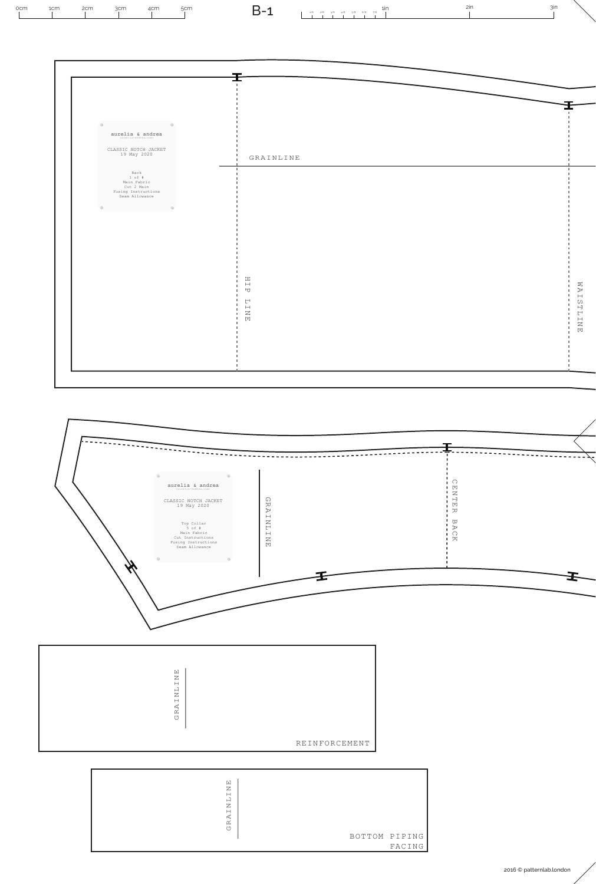| $\circ$                                                                                                                                                                                                                                                     |                                                                 |  |
|-------------------------------------------------------------------------------------------------------------------------------------------------------------------------------------------------------------------------------------------------------------|-----------------------------------------------------------------|--|
| $\mathop{\mathtt{aurelia}}_{\scriptscriptstyle\!({\rm{surv}}{\rm{ii}}\,s\text{-} {\rm{andres.}}\,c\rm{on})}\mathop{\mathtt{andres}}\limits_{\scriptscriptstyle\!({\rm{curv}}{\rm{ii}}\,s\text{-} {\rm{andres.}}\,c\rm{on})}\mathop{\mathtt{andres}}\limits$ |                                                                 |  |
| CLASSIC NOTCH JACKET<br>19 May 2020                                                                                                                                                                                                                         | GRAINLINE                                                       |  |
| Back<br>1 of f<br>Main Fabric<br>Cut 2 Main<br>Fusing Instructions<br>Seam Allowance                                                                                                                                                                        | ٠                                                               |  |
| $\circ$<br>$\blacksquare$                                                                                                                                                                                                                                   |                                                                 |  |
|                                                                                                                                                                                                                                                             |                                                                 |  |
|                                                                                                                                                                                                                                                             |                                                                 |  |
|                                                                                                                                                                                                                                                             |                                                                 |  |
|                                                                                                                                                                                                                                                             |                                                                 |  |
|                                                                                                                                                                                                                                                             | $\mathbb{H}$<br>٠<br>×.<br>$\overline{\phantom{a}}$<br>х.<br>٠. |  |
|                                                                                                                                                                                                                                                             | ٠<br>$\mathrel{\sqsubset}$<br>٠<br>٠                            |  |
|                                                                                                                                                                                                                                                             | ENE.<br>$\mathbb{R}^n$<br>٠.                                    |  |
|                                                                                                                                                                                                                                                             |                                                                 |  |

5cm **1in**  $B-1$  1*in 20 3/8 4/8 5/8 6/8 7/8 1in* 0cm 1cm 2cm 3cm 4cm 2in 3in B-1

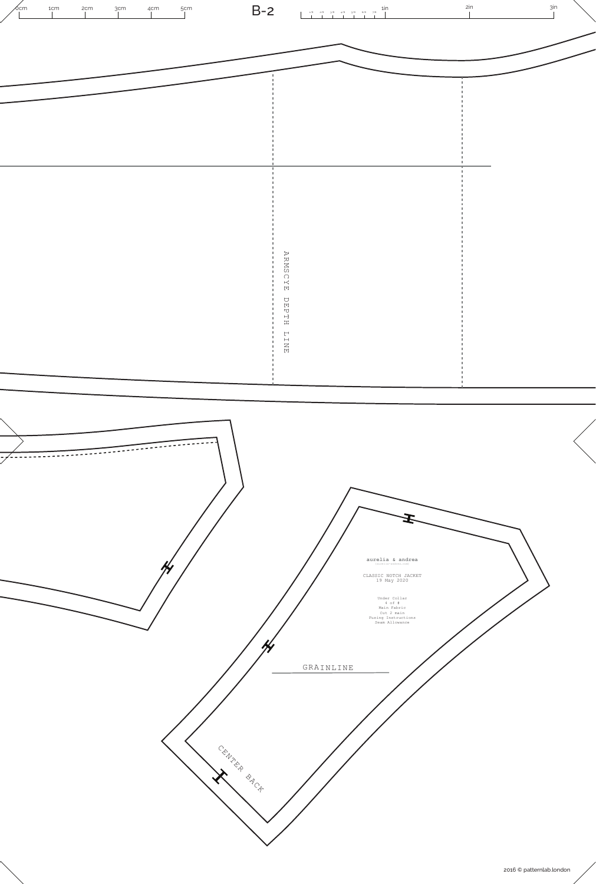